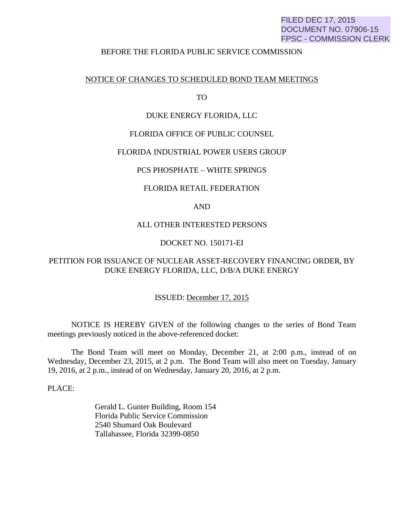## FILED DEC 17, 2015 DOCUMENT NO. 07906-15 FPSC - COMMISSION CLERK

#### BEFORE THE FLORIDA PUBLIC SERVICE COMMISSION

## NOTICE OF CHANGES TO SCHEDULED BOND TEAM MEETINGS

TO

## DUKE ENERGY FLORIDA, LLC

## FLORIDA OFFICE OF PUBLIC COUNSEL

### FLORIDA INDUSTRIAL POWER USERS GROUP

### PCS PHOSPHATE – WHITE SPRINGS

#### FLORIDA RETAIL FEDERATION

## AND

## ALL OTHER INTERESTED PERSONS

## DOCKET NO. 150171-EI

# PETITION FOR ISSUANCE OF NUCLEAR ASSET-RECOVERY FINANCING ORDER, BY DUKE ENERGY FLORIDA, LLC, D/B/A DUKE ENERGY

#### ISSUED: December 17, 2015

 NOTICE IS HEREBY GIVEN of the following changes to the series of Bond Team meetings previously noticed in the above-referenced docket:

 The Bond Team will meet on Monday, December 21, at 2:00 p.m., instead of on Wednesday, December 23, 2015, at 2 p.m. The Bond Team will also meet on Tuesday, January 19, 2016, at 2 p.m., instead of on Wednesday, January 20, 2016, at 2 p.m.

PLACE:

 Gerald L. Gunter Building, Room 154 Florida Public Service Commission 2540 Shumard Oak Boulevard Tallahassee, Florida 32399-0850